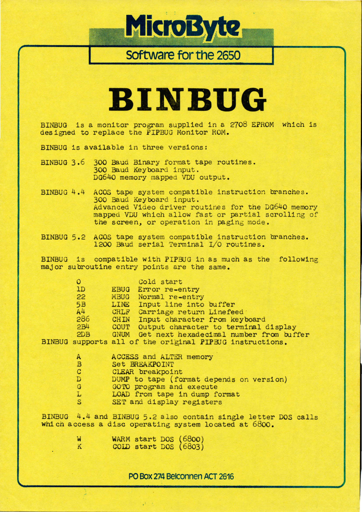

## Software for the 2650

## **BINBUG**

BINBUG is a monitor program supplied in a 2708 EPROM which is designed to replace the PIPBUG Monitor ROM.

BINBUG is available in three versions:

BINBUG 3.6 300 Baud Binary format tape routines. 300 Baud Keyboard input. DG640 memory mapped VDU output.

BINBUG 4.4 ACOS tape system compatible instruction branches. 300 Baud Keyboard input. Advanced Video driver routines for the DG640 memory mapped VDU which allow fast or partial scrolling of the screen, or operation in paging mode.

BINBUG 5.2 ACOS tape system compatible instruction branches. 1200 Baud serial Terminal I/O routines.

BINBUG is compatible with PIPBUG in as much as the following major subroutine entry points are the same.

| 0              |             | Cold start                                          |
|----------------|-------------|-----------------------------------------------------|
| 1D             |             | EBUG Error re-entry                                 |
| 22             | <b>MBUG</b> | Normal re-entry                                     |
| 5B             | LINE        | Input line into buffer                              |
| A <sup>4</sup> |             | CRLF Carriage return Linefeed                       |
| 286            | <b>CHIN</b> | Input character from keyboard                       |
| 2B4            |             | COUT Output character to terminal display           |
| 2DB            | <b>GNUM</b> | Get next hexadecimal number from buffer             |
|                |             | G supports all of the original PIPBUG instructions. |
|                |             |                                                     |

| $\mathbf{A}$ | <b>ACCESS and ALTER memory</b>           |
|--------------|------------------------------------------|
| $\mathbf{B}$ | Set BREAKPOINT                           |
| $\mathbf C$  | CLEAR breakpoint                         |
| D            | DUMP to tape (format depends on version) |
| G            | GOTO program and execute                 |
| L            | LOAD from tape in dump format            |
| S            | SET and display registers                |

BINBUG 4.4 and BINBUG 5.2 also contain single letter DOS calls which access a disc operating system located at 6800.

| K | WARM start DOS (6800)<br>COLD start DOS (6803) |  |  |
|---|------------------------------------------------|--|--|

**BINBU** 

PO Box 274 Belconnen ACT 2616